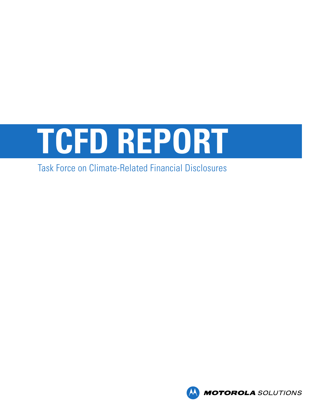

# Task Force on Climate-Related Financial Disclosures

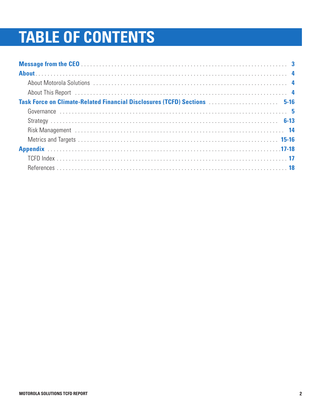# **TABLE OF CONTENTS**

| About This Report (all contains and the contact of the contact of the contact of the contact of the contact of the contact of the contact of the contact of the contact of the contact of the contact of the contact of the co |
|--------------------------------------------------------------------------------------------------------------------------------------------------------------------------------------------------------------------------------|
| Task Force on Climate-Related Financial Disclosures (TCFD) Sections  5-16                                                                                                                                                      |
|                                                                                                                                                                                                                                |
|                                                                                                                                                                                                                                |
|                                                                                                                                                                                                                                |
|                                                                                                                                                                                                                                |
|                                                                                                                                                                                                                                |
|                                                                                                                                                                                                                                |
|                                                                                                                                                                                                                                |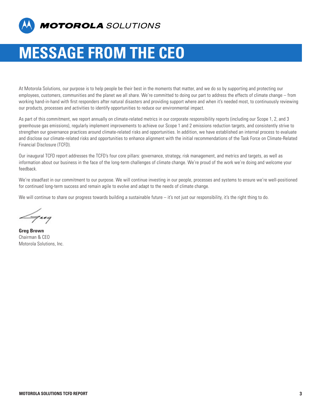

# **MESSAGE FROM THE CEO**

At Motorola Solutions, our purpose is to help people be their best in the moments that matter, and we do so by supporting and protecting our employees, customers, communities and the planet we all share. We're committed to doing our part to address the effects of climate change – from working hand-in-hand with first responders after natural disasters and providing support where and when it's needed most, to continuously reviewing our products, processes and activities to identify opportunities to reduce our environmental impact.

As part of this commitment, we report annually on climate-related metrics in our corporate responsibility reports (including our Scope 1, 2, and 3 greenhouse gas emissions), regularly implement improvements to achieve our Scope 1 and 2 emissions reduction targets, and consistently strive to strengthen our governance practices around climate-related risks and opportunities. In addition, we have established an internal process to evaluate and disclose our climate-related risks and opportunities to enhance alignment with the initial recommendations of the Task Force on Climate-Related Financial Disclosure (TCFD).

Our inaugural TCFD report addresses the TCFD's four core pillars: governance, strategy, risk management, and metrics and targets, as well as information about our business in the face of the long-term challenges of climate change. We're proud of the work we're doing and welcome your feedback.

We're steadfast in our commitment to our purpose. We will continue investing in our people, processes and systems to ensure we're well-positioned for continued long-term success and remain agile to evolve and adapt to the needs of climate change.

We will continue to share our progress towards building a sustainable future – it's not just our responsibility, it's the right thing to do.

 $\equiv$  7  $\epsilon$  9

**Greg Brown** Chairman & CEO Motorola Solutions, Inc.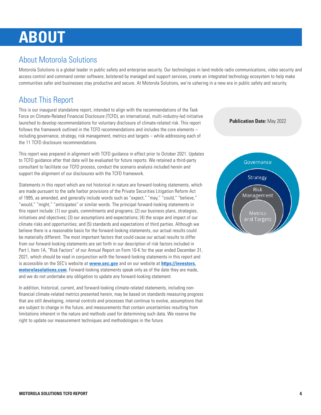# **ABOUT**

## About Motorola Solutions

Motorola Solutions is a global leader in public safety and enterprise security. Our technologies in land mobile radio communications, video security and access control and command center software, bolstered by managed and support services, create an integrated technology ecosystem to help make communities safer and businesses stay productive and secure. At Motorola Solutions, we're ushering in a new era in public safety and security.

## About This Report

This is our inaugural standalone report, intended to align with the recommendations of the Task Force on Climate-Related Financial Disclosure (TCFD), an international, multi-industry-led initiative launched to develop recommendations for voluntary disclosure of climate-related risk. This report follows the framework outlined in the TCFD recommendations and includes the core elements – including governance, strategy, risk management, metrics and targets – while addressing each of the 11 TCFD disclosure recommendations.

This report was prepared in alignment with TCFD guidance in effect prior to October 2021. Updates to TCFD guidance after that date will be evaluated for future reports. We retained a third-party consultant to facilitate our TCFD process, conduct the scenario analysis included herein and support the alignment of our disclosures with the TCFD framework.

Statements in this report which are not historical in nature are forward-looking statements, which are made pursuant to the safe harbor provisions of the Private Securities Litigation Reform Act of 1995, as amended, and generally include words such as "expect," "may," "could," "believe," "would," "might," "anticipates" or similar words. The principal forward-looking statements in this report include: (1) our goals, commitments and programs; (2) our business plans, strategies, initiatives and objectives; (3) our assumptions and expectations; (4) the scope and impact of our climate risks and opportunities; and (5) standards and expectations of third parties. Although we believe there is a reasonable basis for the forward-looking statements, our actual results could be materially different. The most important factors that could cause our actual results to differ from our forward-looking statements are set forth in our description of risk factors included in Part I, Item 1A, "Risk Factors" of our Annual Report on Form 10-K for the year ended December 31, 2021, which should be read in conjunction with the forward-looking statements in this report and is accessible on the SEC's website at **[www.sec.gov](http://www.sec.gov)** and on our website at **[https://investors.](https://investors.motorolasolutions.com) [motorolasolutions.com](https://investors.motorolasolutions.com)**. Forward-looking statements speak only as of the date they are made, and we do not undertake any obligation to update any forward-looking statement.

In addition, historical, current, and forward-looking climate-related statements, including nonfinancial climate-related metrics presented herein, may be based on standards measuring progress that are still developing, internal controls and processes that continue to evolve, assumptions that are subject to change in the future, and measurements that contain uncertainties resulting from limitations inherent in the nature and methods used for determining such data. We reserve the right to update our measurement techniques and methodologies in the future.

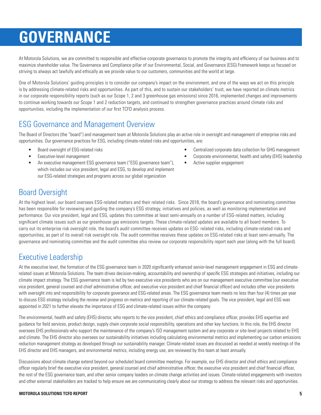# **GOVERNANCE**

At Motorola Solutions, we are committed to responsible and effective corporate governance to promote the integrity and efficiency of our business and to maximize shareholder value. The Governance and Compliance pillar of our Environmental, Social, and Governance (ESG) Framework keeps us focused on striving to always act lawfully and ethically as we provide value to our customers, communities and the world at large.

One of Motorola Solutions' guiding principles is to consider our company's impact on the environment, and one of the ways we act on this principle is by addressing climate-related risks and opportunities. As part of this, and to sustain our stakeholders' trust, we have reported on climate metrics in our corporate responsibility reports (such as our Scope 1, 2 and 3 greenhouse gas emissions) since 2016, implemented changes and improvements to continue working towards our Scope 1 and 2 reduction targets, and continued to strengthen governance practices around climate risks and opportunities, including the implementation of our first TCFD analysis process.

### ESG Governance and Management Overview

The Board of Directors (the "board") and management team at Motorola Solutions play an active role in oversight and management of enterprise risks and opportunities. Our governance practices for ESG, including climate-related risks and opportunities, are:

- Board oversight of ESG-related risks
- Executive-level management
- An executive management ESG governance team ("ESG governance team"), which includes our vice president, legal and ESG, to develop and implement our ESG-related strategies and programs across our global organization
- Centralized corporate data collection for GHG management
- Corporate environmental, health and safety (EHS) leadership
- Active supplier engagement

## Board Oversight

At the highest level, our board oversees ESG-related matters and their related risks. Since 2018, the board's governance and nominating committee has been responsible for reviewing and guiding the company's ESG strategy, initiatives and policies, as well as monitoring implementation and performance. Our vice president, legal and ESG, updates this committee at least semi-annually on a number of ESG-related matters, including significant climate issues such as our greenhouse gas emissions targets. These climate-related updates are available to all board members. To carry out its enterprise risk oversight role, the board's audit committee receives updates on ESG- related risks, including climate-related risks and opportunities, as part of its overall risk oversight role. The audit committee receives these updates on ESG-related risks at least semi-annually. The governance and nominating committee and the audit committee also review our corporate responsibility report each year (along with the full board).

### Executive Leadership

At the executive level, the formation of the ESG governance team in 2020 significantly enhanced senior-level management engagement in ESG and climaterelated issues at Motorola Solutions. The team drives decision-making, accountability and ownership of specific ESG strategies and initiatives, including our climate impact strategy. The ESG governance team is led by two executive vice presidents who are on our management executive committee (our executive vice president, general counsel and chief administrative officer, and executive vice president and chief financial officer) and includes other vice presidents with oversight into and responsibility for corporate goverance and ESG-related areas. The ESG governance team meets no less than four (4) times per year to discuss ESG strategy including the review and progress on metrics and reporting of our climate-related goals. The vice president, legal and ESG was appointed in 2021 to further elevate the importance of ESG and climate-related issues within the company.

The environmental, health and safety (EHS) director, who reports to the vice president, chief ethics and compliance officer, provides EHS expertise and guidance for field services, product design, supply chain corporate social responsibility, operations and other key functions. In this role, the EHS director oversees EHS professionals who support the maintenance of the company's ISO management system and any corporate or site-level projects related to EHS and climate. The EHS director also oversees our sustainability initiatives including calculating environmental metrics and implementing our carbon emissions reduction management strategy as developed through our sustainability manager. Climate-related issues are discussed as needed at weekly meetings of the EHS director and EHS managers, and environmental metrics, including energy use, are reviewed by this team at least annually.

Discussions about climate change extend beyond our scheduled board committee meetings. For example, our EHS director and chief ethics and compliance officer regularly brief the executive vice president, general counsel and chief administrative officer, the executive vice president and chief financial officer, the rest of the ESG governance team, and other senior company leaders on climate change activities and issues. Climate-related engagements with investors and other external stakeholders are tracked to help ensure we are communicating clearly about our strategy to address the relevant risks and opportunities.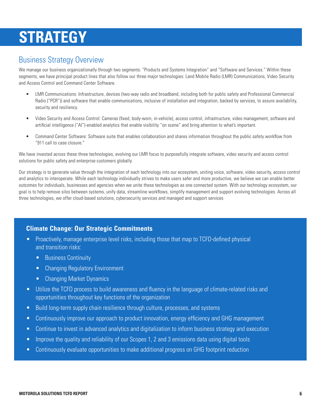# **STRATEGY**

### Business Strategy Overview

We manage our business organizationally through two segments: "Products and Systems Integration" and "Software and Services." Within these segments, we have principal product lines that also follow our three major technologies: Land Mobile Radio (LMR) Communications, Video Security and Access Control and Command Center Software.

- LMR Communications: Infrastructure, devices (two-way radio and broadband, including both for public safety and Professional Commercial Radio ("PCR")) and software that enable communications, inclusive of installation and integration, backed by services, to assure availability, security and resiliency.
- Video Security and Access Control: Cameras (fixed, body-worn, in-vehicle), access control, infrastructure, video management, software and artificial intelligence ("AI")-enabled analytics that enable visibility "on scene" and bring attention to what's important.
- Command Center Software: Software suite that enables collaboration and shares information throughout the public safety workflow from "911 call to case closure."

We have invested across these three technologies, evolving our LMR focus to purposefully integrate software, video security and access control solutions for public safety and enterprise customers globally.

Our strategy is to generate value through the integration of each technology into our ecosystem, uniting voice, software, video security, access control and analytics to interoperate. While each technology individually strives to make users safer and more productive, we believe we can enable better outcomes for individuals, businesses and agencies when we unite these technologies as one connected system. With our technology ecosystem, our goal is to help remove silos between systems, unify data, streamline workflows, simplify management and support evolving technologies. Across all three technologies, we offer cloud-based solutions, cybersecurity services and managed and support services

#### **Climate Change: Our Strategic Commitments**

- Proactively, manage enterprise level risks, including those that map to TCFD-defined physical and transition risks:
	- Business Continuity
	- Changing Regulatory Environment
	- Changing Market Dynamics
- Utilize the TCFD process to build awareness and fluency in the language of climate-related risks and opportunities throughout key functions of the organization
- Build long-term supply chain resilience through culture, processes, and systems
- Continuously improve our approach to product innovation, energy efficiency and GHG management
- Continue to invest in advanced analytics and digitalization to inform business strategy and execution
- Improve the quality and reliability of our Scopes 1, 2 and 3 emissions data using digital tools
- Continuously evaluate opportunities to make additional progress on GHG footprint reduction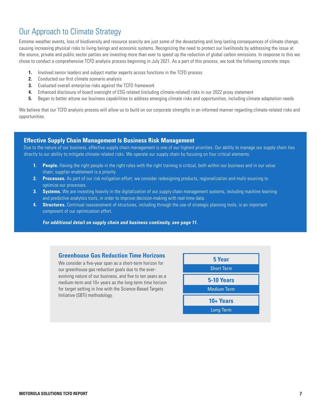### Our Approach to Climate Strategy

Extreme weather events, loss of biodiversity and resource scarcity are just some of the devastating and long-lasting consequences of climate change, causing increasing physical risks to living beings and economic systems. Recognizing the need to protect our livelihoods by addressing the issue at the source, private and public sector parties are investing more than ever to speed up the reduction of global carbon emissions. In response to this we chose to conduct a comprehensive TCFD analysis process beginning in July 2021. As a part of this process, we took the following concrete steps:

- **1.** Involved senior leaders and subject matter experts across functions in the TCFD process
- **2.** Conducted our first climate scenario analysis
- **3.** Evaluated overall enterprise risks against the TCFD framework
- **4.** Enhanced disclosure of board oversight of ESG-related (including climate-related) risks in our 2022 proxy statement
- **5.** Began to better attune our business capabilities to address emerging climate risks and opportunities, including climate adaptation needs

We believe that our TCFD analysis process will allow us to build on our corporate strengths in an informed manner regarding climate-related risks and opportunities.

#### **Effective Supply Chain Management Is Business Risk Management**

Due to the nature of our business, effective supply chain management is one of our highest priorities. Our ability to manage our supply chain ties directly to our ability to mitigate climate-related risks. We operate our supply chain by focusing on four critical elements:

- **1. People.** Having the right people in the right roles with the right training is critical, both within our business and in our value chain; supplier enablement is a priority.
- **2. Processes.** As part of our risk mitigation effort, we consider redesigning products, regionalization and multi-sourcing to optimize our processes.
- **3. Systems.** We are investing heavily in the digitalization of our supply chain management systems, including machine learning and predictive analytics tools, in order to improve decision-making with real-time data.
- **4. Structures.** Continual reassessment of structures, including through the use of strategic planning tools, is an important component of our optimization effort.

**For additional detail on supply chain and business continuity, see page 11.** 

#### **Greenhouse Gas Reduction Time Horizons**

We consider a five-year span as a short-term horizon for our greenhouse gas reduction goals due to the everevolving nature of our business, and five to ten years as a medium-term and 10+ years as the long-term time horizon for target setting in line with the Science-Based Targets Initiative (SBTi) methodology.

| <b>5 Year</b>      |  |  |  |
|--------------------|--|--|--|
| <b>Short Term</b>  |  |  |  |
| 5-10 Years         |  |  |  |
| <b>Medium Term</b> |  |  |  |
| 10+ Years          |  |  |  |
| <b>Long Term</b>   |  |  |  |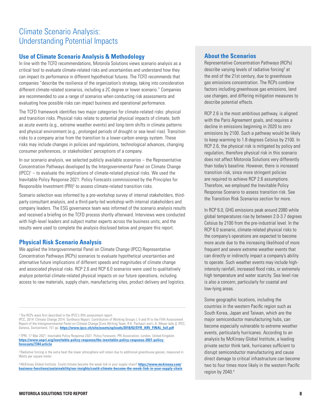### Climate Scenario Analysis: Understanding Potential Impacts

#### **Use of Climate Scenario Analysis & Methodology**

In line with the TCFD recommendations, Motorola Solutions views scenario analysis as a critical tool to evaluate climate-related risks and uncertainties and understand how they can impact its performance in different hypothetical futures. The TCFD recommends that companies "describe the resilience of the organization's strategy, taking into consideration different climate-related scenarios, including a 2C degree or lower scenario." Companies are recommended to use a range of scenarios when conducting risk assessments and evaluating how possible risks can impact business and operational performance.

The TCFD framework identifies two major categories for climate-related risks: physical and transition risks. Physical risks relate to potential physical impacts of climate, both as acute events (e.g., extreme weather events) and long-term shifts in climate patterns and physical environment (e.g., prolonged periods of drought or sea-level rise). Transition risks to a company arise from the transition to a lower-carbon energy system. These risks may include changes in policies and regulations, technological advances, changing consumer preferences, or stakeholders' perceptions of a company.

In our scenario analysis, we selected publicly available scenarios – the Representative Concentration Pathways developed by the Intergovernmental Panel on Climate Change  $(IPC)$ <sup>1</sup> – to evaluate the implications of climate-related physical risks. We used the Inevitable Policy Response 2021: Policy Forecasts commissioned by the Principles for Responsible Investment (PRI)<sup>2</sup> to assess climate-related transition risks.

Scenario selection was informed by a pre-workshop survey of internal stakeholders, thirdparty consultant analysis, and a third-party-led workshop with internal stakeholders and company leaders. The ESG governance team was informed of the scenario analysis results and received a briefing on the TCFD process shortly afterward. Interviews were conducted with high-level leaders and subject matter experts across the business units, and the results were used to complete the analysis disclosed below and prepare this report.

#### **Physical Risk Scenario Analysis**

We applied the Intergovernmental Panel on Climate Change (IPCC) Representative Concentration Pathways (RCPs) scenarios to evaluate hypothetical uncertainties and alternative future implications of different speeds and magnitudes of climate change and associated physical risks. RCP 2.6 and RCP 6.0 scenarios were used to qualitatively analyze potential climate-related physical impacts on our future operations, including access to raw materials, supply chain, manufacturing sites, product delivery and logistics.

<sup>1</sup>The RCPs were first described in the IPCC's fifth assessment report.

IPCC, 2014: Climate Change 2014: Synthesis Report. Contribution of Working Groups I, II and III to the Fifth Assessment Report of the Intergovernmental Panel on Climate Change [Core Writing Team, R.K. Pachauri and L.A. Meyer (eds.)]. IPCC, Geneva, Switzerland, 151 pp. **[https://www.ipcc.ch/site/assets/uploads/2018/02/SYR\\_AR5\\_FINAL\\_full.pdf](https://www.ipcc.ch/site/assets/uploads/2018/02/SYR_AR5_FINAL_full.pdf)**

<sup>2</sup>TPRI, 17 Mar 2021: Inevitable Policy Response 2021: Policy Forecasts. PRI Association, London, United Kingdom. **[https://www.unpri.org/inevitable-policy-response/the-inevitable-policy-response-2021-policy](https://www.unpri.org/inevitable-policy-response/the-inevitable-policy-response-2021-policy-forecasts/7344.article)[forecasts/7344.article](https://www.unpri.org/inevitable-policy-response/the-inevitable-policy-response-2021-policy-forecasts/7344.article)**

<sup>3</sup> Badiative forcing is the extra heat the lower atmosphere will retain due to additional greenhouse gasses, measured in Watts per square meter.

<sup>4</sup>McKinsey Global Institute. Could climate become the weak link in your supply chain? **[https://www.mckinsey.com/](https://www.mckinsey.com/business-functions/sustainability/our-insights/could-climate-become-the-weak-link-in-your-supply-chain) [business-functions/sustainability/our-insights/could-climate-become-the-weak-link-in-your-supply-chain](https://www.mckinsey.com/business-functions/sustainability/our-insights/could-climate-become-the-weak-link-in-your-supply-chain)**

#### **About the Scenarios**

Representative Concentration Pathways (RCPs) describe varying levels of radiative forcing<sup>3</sup> at the end of the 21st century, due to greenhouse gas emissions concentration. The RCPs combine factors including greenhouse gas emissions, land use changes, and differing mitigation measures to describe potential effects.

RCP 2.6 is the most ambitious pathway, is aligned with the Paris Agreement goals, and requires a decline in emissions beginning in 2020 to zero emissions by 2100. Such a pathway would be likely to keep warming to 1.8 degrees Celsius by 2100. In RCP 2.6, the physical risk is mitigated by policy and regulation, therefore physical risk in this scenario does not affect Motorola Solutions very differently than today's baseline. However, there is increased transition risk, since more stringent policies are required to achieve RCP 2.6 assumptions. Therefore, we employed the Inevitable Policy Response Scenario to assess transition risk. See the Transition Risk Scenarios section for more.

In RCP 6.0, GHG emissions peak around 2080 while global temperatures rise by between 2.0-3.7 degrees Celsius by 2100 from the pre-industrial level. In the RCP 6.0 scenario, climate-related physical risks to the company's operations are expected to become more acute due to the increasing likelihood of more frequent and severe extreme weather events that can directly or indirectly impact a company's ability to operate. Such weather events may include highintensity rainfall, increased flood risks, or extremely high temperature and water scarcity. Sea level rise is also a concern, particularly for coastal and low-lying areas.

Some geographic locations, including the countries in the western Pacific region such as South Korea, Japan and Taiwan, which are the major semiconductor manufacturing hubs, can become especially vulnerable to extreme weather events, particularly hurricanes. According to an analysis by McKinsey Global Institute, a leading private sector think tank, hurricanes sufficient to disrupt semiconductor manufacturing and cause direct damage to critical infrastructure can become two to four times more likely in the western Pacific region by 2040. 4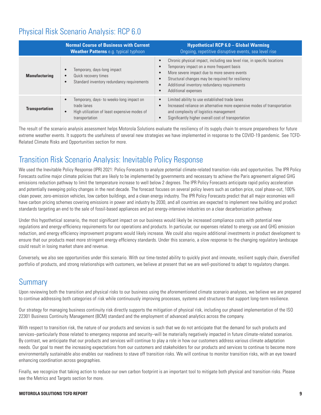### Physical Risk Scenario Analysis: RCP 6.0

|                       | <b>Normal Course of Business with Current</b><br><b>Weather Patterns e.g. typical typhoon</b>                                                       | <b>Hypothetical RCP 6.0 - Global Warming</b><br>Ongoing, repetitive disruptive events, sea level rise                                                                                                                                                                                                                                                           |
|-----------------------|-----------------------------------------------------------------------------------------------------------------------------------------------------|-----------------------------------------------------------------------------------------------------------------------------------------------------------------------------------------------------------------------------------------------------------------------------------------------------------------------------------------------------------------|
| <b>Manufacturing</b>  | Temporary, days-long impact<br>$\bullet$<br>Quick recovery times<br>$\bullet$<br>Standard inventory redundancy requirements                         | Chronic physical impact, including sea level rise, in specific locations<br>$\bullet$<br>Temporary impact on a more frequent basis<br>٠<br>More severe impact due to more severe events<br>$\bullet$<br>Structural changes may be required for resiliency<br>$\bullet$<br>Additional inventory redundancy requirements<br>$\bullet$<br>Additional expenses<br>с |
| <b>Transportation</b> | Temporary, days- to weeks-long impact on<br>$\bullet$<br>trade lanes<br>High utilization of least expensive modes of<br>$\bullet$<br>transportation | Limited ability to use established trade lanes<br>$\bullet$<br>Increased reliance on alternative more expensive modes of transportation<br>$\bullet$<br>and complexity of logistics management<br>Significantly higher overall cost of transportation                                                                                                           |

The result of the scenario analysis assessment helps Motorola Solutions evaluate the resiliency of its supply chain to ensure preparedness for future extreme weather events. It supports the usefulness of several new strategies we have implemented in response to the COVID-19 pandemic. See TCFD-Related Climate Risks and Opportunities section for more.

## Transition Risk Scenario Analysis: Inevitable Policy Response

We used the Inevitable Policy Response (IPR) 2021: Policy Forecasts to analyze potential climate-related transition risks and opportunities. The IPR Policy Forecasts outline major climate policies that are likely to be implemented by governments and necessary to achieve the Paris agreement aligned GHG emissions reduction pathway to limit the temperature increase to well below 2 degrees. The IPR Policy Forecasts anticipate rapid policy acceleration and potentially sweeping policy changes in the next decade. The forecast focuses on several policy levers such as carbon price, coal phase-out, 100% clean power, zero-emission vehicles, low carbon buildings, and a clean energy industry. The IPR Policy Forecasts predict that all major economies will have carbon pricing schemes covering emissions in power and industry by 2030, and all countries are expected to implement new building and product standards targeting an end to the sale of fossil-based appliances and put energy-intensive industries on a clear decarbonization pathway.

Under this hypothetical scenario, the most significant impact on our business would likely be increased compliance costs with potential new regulations and energy-efficiency requirements for our operations and products. In particular, our expenses related to energy use and GHG emission reduction, and energy efficiency improvement programs would likely increase. We could also require additional investments in product development to ensure that our products meet more stringent energy efficiency standards. Under this scenario, a slow response to the changing regulatory landscape could result in losing market share and revenue.

Conversely, we also see opportunities under this scenario. With our time-tested ability to quickly pivot and innovate, resilient supply chain, diversified portfolio of products, and strong relationships with customers, we believe at present that we are well-positioned to adapt to regulatory changes.

## **Summary**

Upon reviewing both the transition and physical risks to our business using the aforementioned climate scenario analyses, we believe we are prepared to continue addressing both categories of risk while continuously improving processes, systems and structures that support long-term resilience.

Our strategy for managing business continuity risk directly supports the mitigation of physical risk, including our phased implementation of the ISO 22301 Business Continuity Management (BCM) standard and the employment of advanced analytics across the company.

With respect to transition risk, the nature of our products and services is such that we do not anticipate that the demand for such products and services–particularly those related to emergency response and security–will be materially negatively impacted in future climate-related scenarios. By contrast, we anticipate that our products and services will continue to play a role in how our customers address various climate adaptation needs. Our goal to meet the increasing expectations from our customers and stakeholders for our products and services to continue to become more environmentally sustainable also enables our readiness to stave off transition risks. We will continue to monitor transition risks, with an eye toward enhancing coordination across geographies.

Finally, we recognize that taking action to reduce our own carbon footprint is an important tool to mitigate both physical and transition risks. Please see the Metrics and Targets section for more.

#### **MOTOROLA SOLUTIONS TCFD REPORT 9**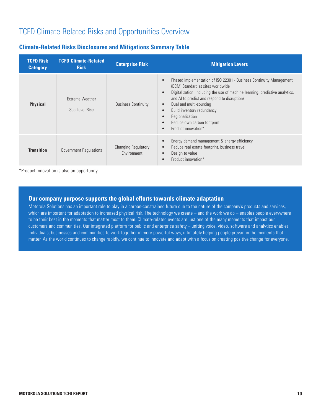### TCFD Climate-Related Risks and Opportunities Overview

#### **Climate-Related Risks Disclosures and Mitigations Summary Table**

| <b>TCFD Risk</b><br><b>Category</b> | <b>TCFD Climate-Related</b><br><b>Risk</b> | <b>Enterprise Risk</b>                    | <b>Mitigation Levers</b>                                                                                                                                                                                                                                                                                                                                                                                                                                 |
|-------------------------------------|--------------------------------------------|-------------------------------------------|----------------------------------------------------------------------------------------------------------------------------------------------------------------------------------------------------------------------------------------------------------------------------------------------------------------------------------------------------------------------------------------------------------------------------------------------------------|
| <b>Physical</b>                     | Extreme Weather<br>Sea Level Rise          | <b>Business Continuity</b>                | Phased implementation of ISO 22301 - Business Continuity Management<br>(BCM) Standard at sites worldwide<br>Digitalization, including the use of machine learning, predictive analytics,<br>$\bullet$<br>and AI to predict and respond to disruptions<br>Dual and multi-sourcing<br>$\bullet$<br>Build inventory redundancy<br>$\bullet$<br>Regionalization<br>$\bullet$<br>Reduce own carbon footprint<br>$\bullet$<br>Product innovation*<br>$\bullet$ |
| <b>Transition</b>                   | <b>Government Regulations</b>              | <b>Changing Regulatory</b><br>Environment | Energy demand management & energy efficiency<br>$\bullet$<br>Reduce real estate footprint, business travel<br>$\bullet$<br>Design to value<br>$\bullet$<br>Product innovation*                                                                                                                                                                                                                                                                           |

\*Product innovation is also an opportunity.

#### **Our company purpose supports the global efforts towards climate adaptation**

Motorola Solutions has an important role to play in a carbon-constrained future due to the nature of the company's products and services, which are important for adaptation to increased physical risk. The technology we create – and the work we do – enables people everywhere to be their best in the moments that matter most to them. Climate-related events are just one of the many moments that impact our customers and communities. Our integrated platform for public and enterprise safety – uniting voice, video, software and analytics enables individuals, businesses and communities to work together in more powerful ways, ultimately helping people prevail in the moments that matter. As the world continues to change rapidly, we continue to innovate and adapt with a focus on creating positive change for everyone.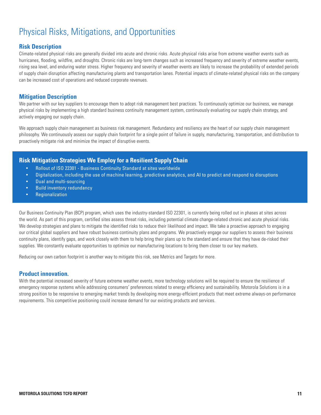# Physical Risks, Mitigations, and Opportunities

#### **Risk Description**

Climate-related physical risks are generally divided into acute and chronic risks. Acute physical risks arise from extreme weather events such as hurricanes, flooding, wildfire, and droughts. Chronic risks are long-term changes such as increased frequency and severity of extreme weather events, rising sea level, and enduring water stress. Higher frequency and severity of weather events are likely to increase the probability of extended periods of supply chain disruption affecting manufacturing plants and transportation lanes. Potential impacts of climate-related physical risks on the company can be increased cost of operations and reduced corporate revenues.

#### **Mitigation Description**

We partner with our key suppliers to encourage them to adopt risk management best practices. To continuously optimize our business, we manage physical risks by implementing a high standard business continuity management system, continuously evaluating our supply chain strategy, and actively engaging our supply chain.

We approach supply chain management as business risk management. Redundancy and resiliency are the heart of our supply chain management philosophy. We continuously assess our supply chain footprint for a single point of failure in supply, manufacturing, transportation, and distribution to proactively mitigate risk and minimize the impact of disruptive events.

#### **Risk Mitigation Strategies We Employ for a Resilient Supply Chain**

- Rollout of ISO 22301 Business Continuity Standard at sites worldwide
- Digitalization, including the use of machine learning, predictive analytics, and AI to predict and respond to disruptions
- Dual and multi-sourcing
- Build inventory redundancy
- **Regionalization**

Our Business Continuity Plan (BCP) program, which uses the industry-standard ISO 22301, is currently being rolled out in phases at sites across the world. As part of this program, certified sites assess threat risks, including potential climate change-related chronic and acute physical risks. We develop strategies and plans to mitigate the identified risks to reduce their likelihood and impact. We take a proactive approach to engaging our critical global suppliers and have robust business continuity plans and programs. We proactively engage our suppliers to assess their business continuity plans, identify gaps, and work closely with them to help bring their plans up to the standard and ensure that they have de-risked their supplies. We constantly evaluate opportunities to optimize our manufacturing locations to bring them closer to our key markets.

Reducing our own carbon footprint is another way to mitigate this risk, see Metrics and Targets for more.

#### **Product innovation.**

With the potential increased severity of future extreme weather events, more technology solutions will be required to ensure the resilience of emergency response systems while addressing consumers' preferences related to energy efficiency and sustainability. Motorola Solutions is in a strong position to be responsive to emerging market trends by developing more energy-efficient products that meet extreme always-on performance requirements. This competitive positioning could increase demand for our existing products and services.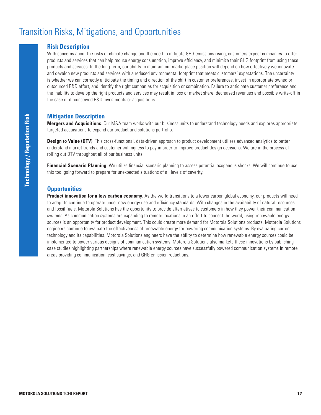## Transition Risks, Mitigations, and Opportunities

#### **Risk Description**

With concerns about the risks of climate change and the need to mitigate GHG emissions rising, customers expect companies to offer products and services that can help reduce energy consumption, improve efficiency, and minimize their GHG footprint from using these products and services. In the long-term, our ability to maintain our marketplace position will depend on how effectively we innovate and develop new products and services with a reduced environmental footprint that meets customers' expectations. The uncertainty is whether we can correctly anticipate the timing and direction of the shift in customer preferences, invest in appropriate owned or outsourced R&D effort, and identify the right companies for acquisition or combination. Failure to anticipate customer preference and the inability to develop the right products and services may result in loss of market share, decreased revenues and possible write-off in the case of ill-conceived R&D investments or acquisitions.

#### **Mitigation Description**

**Mergers and Acquisitions**. Our M&A team works with our business units to understand technology needs and explores appropriate, targeted acquisitions to expand our product and solutions portfolio.

**Design to Value (DTV)**. This cross-functional, data-driven approach to product development utilizes advanced analytics to better understand market trends and customer willingness to pay in order to improve product design decisions. We are in the process of rolling out DTV throughout all of our business units.

**Financial Scenario Planning**. We utilize financial scenario planning to assess potential exogenous shocks. We will continue to use this tool going forward to prepare for unexpected situations of all levels of severity.

#### **Opportunities**

**Product innovation for a low carbon economy**. As the world transitions to a lower carbon global economy, our products will need to adapt to continue to operate under new energy use and efficiency standards. With changes in the availability of natural resources and fossil fuels, Motorola Solutions has the opportunity to provide alternatives to customers in how they power their communication systems. As communication systems are expanding to remote locations in an effort to connect the world, using renewable energy sources is an opportunity for product development. This could create more demand for Motorola Solutions products. Motorola Solutions engineers continue to evaluate the effectiveness of renewable energy for powering communication systems. By evaluating current technology and its capabilities, Motorola Solutions engineers have the ability to determine how renewable energy sources could be implemented to power various designs of communication systems. Motorola Solutions also markets these innovations by publishing case studies highlighting partnerships where renewable energy sources have successfully powered communication systems in remote areas providing communication, cost savings, and GHG emission reductions.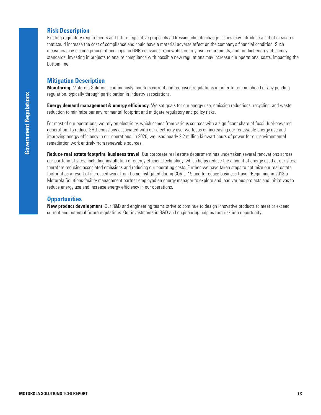#### **Risk Description**

Existing regulatory requirements and future legislative proposals addressing climate change issues may introduce a set of measures that could increase the cost of compliance and could have a material adverse effect on the company's financial condition. Such measures may include pricing of and caps on GHG emissions, renewable energy use requirements, and product energy efficiency standards. Investing in projects to ensure compliance with possible new regulations may increase our operational costs, impacting the bottom line.

#### **Mitigation Description**

**Monitoring**. Motorola Solutions continuously monitors current and proposed regulations in order to remain ahead of any pending regulation, typically through participation in industry associations.

**Energy demand management & energy efficiency**. We set goals for our energy use, emission reductions, recycling, and waste reduction to minimize our environmental footprint and mitigate regulatory and policy risks.

For most of our operations, we rely on electricity, which comes from various sources with a significant share of fossil fuel-powered generation. To reduce GHG emissions associated with our electricity use, we focus on increasing our renewable energy use and improving energy efficiency in our operations. In 2020, we used nearly 2.2 million kilowatt hours of power for our environmental remediation work entirely from renewable sources.

**Reduce real estate footprint, business travel**. Our corporate real estate department has undertaken several renovations across our portfolio of sites, including installation of energy efficient technology, which helps reduce the amount of energy used at our sites, therefore reducing associated emissions and reducing our operating costs. Further, we have taken steps to optimize our real estate footprint as a result of increased work-from-home instigated during COVID-19 and to reduce business travel. Beginning in 2018 a Motorola Solutions facility management partner employed an energy manager to explore and lead various projects and initiatives to reduce energy use and increase energy efficiency in our operations.

#### **Opportunities**

**New product development**. Our R&D and engineering teams strive to continue to design innovative products to meet or exceed current and potential future regulations. Our investments in R&D and engineering help us turn risk into opportunity.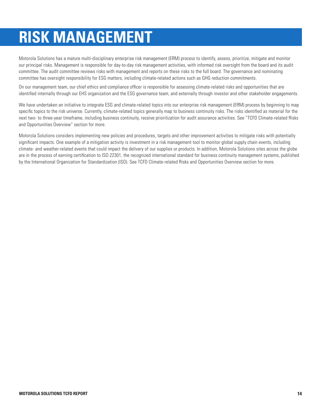# **RISK MANAGEMENT**

Motorola Solutions has a mature multi-disciplinary enterprise risk management (ERM) process to identify, assess, prioritize, mitigate and monitor our principal risks. Management is responsible for day-to-day risk management activities, with informed risk oversight from the board and its audit committee. The audit committee reviews risks with management and reports on these risks to the full board. The governance and nominating committee has oversight responsibility for ESG matters, including climate-related actions such as GHG reduction commitments.

On our management team, our chief ethics and compliance officer is responsible for assessing climate-related risks and opportunities that are identified internally through our EHS organization and the ESG governance team, and externally through investor and other stakeholder engagements.

We have undertaken an initiative to integrate ESG and climate-related topics into our enterprise risk management (ERM) process by beginning to map specific topics to the risk universe. Currently, climate-related topics generally map to business continuity risks. The risks identified as material for the next two- to three-year timeframe, including business continuity, receive prioritization for audit assurance activities. See "TCFD Climate-related Risks and Opportunities Overview" section for more.

Motorola Solutions considers implementing new policies and procedures, targets and other improvement activities to mitigate risks with potentially significant impacts. One example of a mitigation activity is investment in a risk management tool to monitor global supply chain events, including climate- and weather-related events that could impact the delivery of our supplies or products. In addition, Motorola Solutions sites across the globe are in the process of earning certification to ISO 22301, the recognized international standard for business continuity management systems, published by the International Organization for Standardization (ISO). See TCFD Climate-related Risks and Opportunities Overview section for more.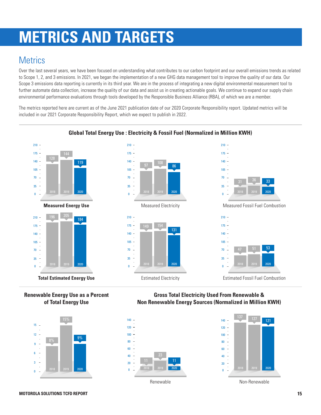# **METRICS AND TARGETS**

## **Metrics**

Over the last several years, we have been focused on understanding what contributes to our carbon footprint and our overall emissions trends as related to Scope 1, 2, and 3 emissions. In 2021, we began the implementation of a new GHG data management tool to improve the quality of our data. Our Scope 3 emissions data reporting is currently in its third year. We are in the process of integrating a new digital environmental measurement tool to further automate data collection, increase the quality of our data and assist us in creating actionable goals. We continue to expand our supply chain environmental performance evaluations through tools developed by the Responsible Business Alliance (RBA), of which we are a member.

The metrics reported here are current as of the June 2021 publication date of our 2020 Corporate Responsibility report. Updated metrics will be included in our 2021 Corporate Responsibility Report, which we expect to publish in 2022.



#### **Global Total Energy Use : Electricity & Fossil Fuel (Normalized in Million KWH)**





**Gross Total Electricity Used From Renewable & Non Renewable Energy Sources (Normalized in Million KWH)**



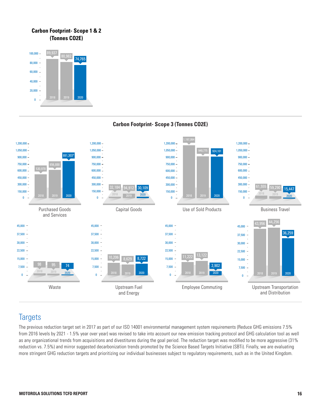#### **Carbon Footprint- Scope 1 & 2 (Tonnes CO2E)**





#### **Carbon Footprint- Scope 3 (Tonnes CO2E)**

### **Targets**

The previous reduction target set in 2017 as part of our ISO 14001 environmental management system requirements (Reduce GHG emissions 7.5% from 2016 levels by 2021 - 1.5% year over year) was revised to take into account our new emission tracking protocol and GHG calculation tool as well as any organizational trends from acquisitions and divestitures during the goal period. The reduction target was modified to be more aggressive (31% reduction vs. 7.5%) and mirror suggested decarbonization trends promoted by the Science Based Targets Initiative (SBTi). Finally, we are evaluating more stringent GHG reduction targets and prioritizing our individual businesses subject to regulatory requirements, such as in the United Kingdom.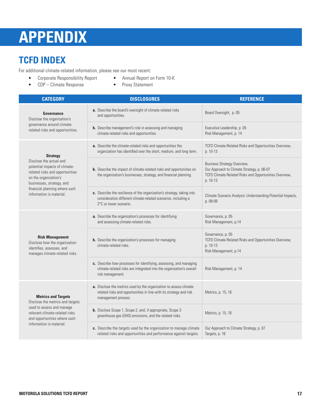# **APPENDIX**

# **TCFD INDEX**

For additional climate-related information, please see our most recent:

- Corporate Responsibility Report Annual Report on Form 10-K
- CDP Climate Response Proxy Statement
- -

| <b>CATEGORY</b>                                                                                                                                   | <b>DISCLOSURES</b>                                                                                                                                                 | <b>REFERENCE</b>                                                                                                                                       |
|---------------------------------------------------------------------------------------------------------------------------------------------------|--------------------------------------------------------------------------------------------------------------------------------------------------------------------|--------------------------------------------------------------------------------------------------------------------------------------------------------|
| Governance<br>Disclose the organization's                                                                                                         | a. Describe the board's oversight of climate-related risks<br>and opportunities.                                                                                   | Board Oversight, p. 05                                                                                                                                 |
| governance around climate-<br>related risks and opportunities.                                                                                    | <b>b.</b> Describe management's role in assessing and managing<br>climate-related risks and opportunities.                                                         | Executive Leadership, p.05<br>Risk Management, p. 14                                                                                                   |
| <b>Strategy</b>                                                                                                                                   | a. Describe the climate-related risks and opportunities the<br>organization has identified over the short, medium, and long term.                                  | TCFD Climate-Related Risks and Opportunities Overview,<br>p. 10-13                                                                                     |
| Disclose the actual and<br>potential impacts of climate-<br>related risks and opportunities<br>on the organization's<br>businesses, strategy, and | <b>b.</b> Describe the impact of climate-related risks and opportunities on<br>the organization's businesses, strategy, and financial planning.                    | <b>Business Strategy Overview,</b><br>Our Approach to Climate Strategy, p. 06-07<br>TCFD Climate-Related Risks and Opportunities Overview,<br>p. 10-13 |
| financial planning where such<br>information is material.                                                                                         | c. Describe the resilience of the organization's strategy, taking into<br>consideration different climate-related scenarios, including a<br>2°C or lower scenario. | Climate Scenario Analysis: Understanding Potential Impacts,<br>p. 08-09                                                                                |
|                                                                                                                                                   | a. Describe the organization's processes for identifying<br>and assessing climate-related risks.                                                                   | Governance, p. 05<br>Risk Management, p.14                                                                                                             |
| <b>Risk Management</b><br>Disclose how the organization<br>identifies, assesses, and<br>manages climate-related risks.                            | <b>b.</b> Describe the organization's processes for managing<br>climate-related risks.                                                                             | Governance, p. 05<br>TCFD Climate-Related Risks and Opportunities Overview,<br>p. 10-13<br>Risk Management, p.14                                       |
|                                                                                                                                                   | c. Describe how processes for identifying, assessing, and managing<br>climate-related risks are integrated into the organization's overall<br>risk management.     | Risk Management, p. 14                                                                                                                                 |
| <b>Metrics and Targets</b><br>Disclose the metrics and targets                                                                                    | a. Disclose the metrics used by the organization to assess climate<br>related risks and opportunities in line with its strategy and risk<br>management process.    | Metrics, p. 15, 16                                                                                                                                     |
| used to assess and manage<br>relevant climate-related risks<br>and opportunities where such                                                       | <b>b.</b> Disclose Scope 1, Scope 2, and, if appropriate, Scope 3<br>greenhouse gas (GHG) emissions, and the related risks.                                        | Metrics, p. 15, 16                                                                                                                                     |
| information is material.                                                                                                                          | c. Describe the targets used by the organization to manage climate<br>related risks and opportunities and performance against targets.                             | Our Approach to Climate Strategy, p. 07<br>Targets, p. 16                                                                                              |